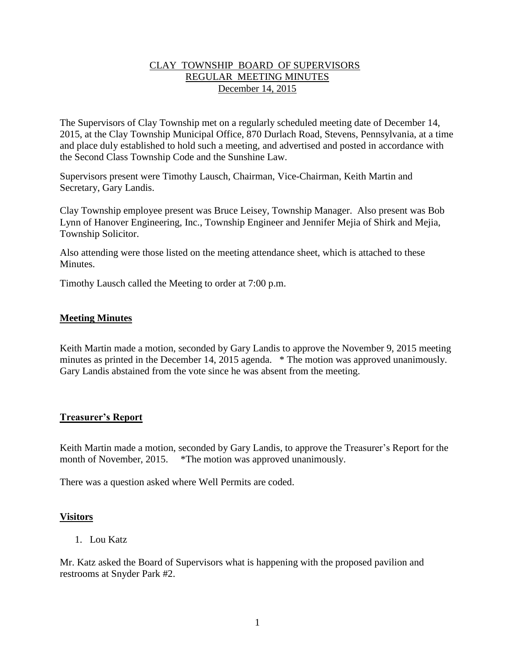### CLAY TOWNSHIP BOARD OF SUPERVISORS REGULAR MEETING MINUTES December 14, 2015

The Supervisors of Clay Township met on a regularly scheduled meeting date of December 14, 2015, at the Clay Township Municipal Office, 870 Durlach Road, Stevens, Pennsylvania, at a time and place duly established to hold such a meeting, and advertised and posted in accordance with the Second Class Township Code and the Sunshine Law.

Supervisors present were Timothy Lausch, Chairman, Vice-Chairman, Keith Martin and Secretary, Gary Landis.

Clay Township employee present was Bruce Leisey, Township Manager. Also present was Bob Lynn of Hanover Engineering, Inc., Township Engineer and Jennifer Mejia of Shirk and Mejia, Township Solicitor.

Also attending were those listed on the meeting attendance sheet, which is attached to these **Minutes** 

Timothy Lausch called the Meeting to order at 7:00 p.m.

### **Meeting Minutes**

Keith Martin made a motion, seconded by Gary Landis to approve the November 9, 2015 meeting minutes as printed in the December 14, 2015 agenda. \* The motion was approved unanimously. Gary Landis abstained from the vote since he was absent from the meeting.

### **Treasurer's Report**

Keith Martin made a motion, seconded by Gary Landis, to approve the Treasurer's Report for the month of November, 2015. \*The motion was approved unanimously.

There was a question asked where Well Permits are coded.

### **Visitors**

1. Lou Katz

Mr. Katz asked the Board of Supervisors what is happening with the proposed pavilion and restrooms at Snyder Park #2.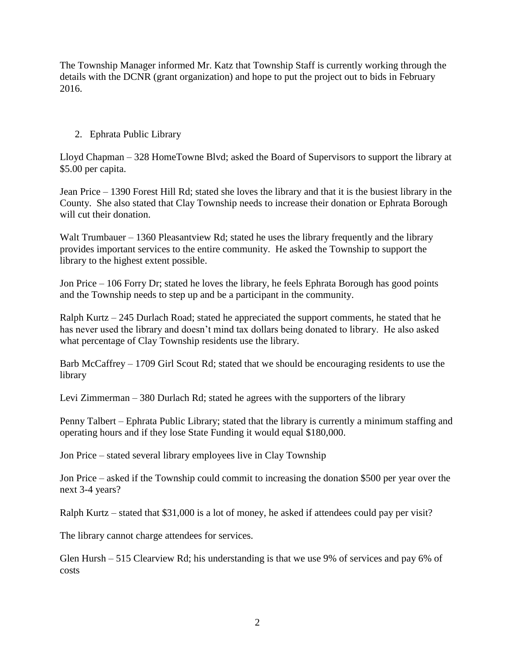The Township Manager informed Mr. Katz that Township Staff is currently working through the details with the DCNR (grant organization) and hope to put the project out to bids in February 2016.

# 2. Ephrata Public Library

Lloyd Chapman – 328 HomeTowne Blvd; asked the Board of Supervisors to support the library at \$5.00 per capita.

Jean Price – 1390 Forest Hill Rd; stated she loves the library and that it is the busiest library in the County. She also stated that Clay Township needs to increase their donation or Ephrata Borough will cut their donation.

Walt Trumbauer – 1360 Pleasantview Rd; stated he uses the library frequently and the library provides important services to the entire community. He asked the Township to support the library to the highest extent possible.

Jon Price – 106 Forry Dr; stated he loves the library, he feels Ephrata Borough has good points and the Township needs to step up and be a participant in the community.

Ralph Kurtz – 245 Durlach Road; stated he appreciated the support comments, he stated that he has never used the library and doesn't mind tax dollars being donated to library. He also asked what percentage of Clay Township residents use the library.

Barb McCaffrey – 1709 Girl Scout Rd; stated that we should be encouraging residents to use the library

Levi Zimmerman – 380 Durlach Rd; stated he agrees with the supporters of the library

Penny Talbert – Ephrata Public Library; stated that the library is currently a minimum staffing and operating hours and if they lose State Funding it would equal \$180,000.

Jon Price – stated several library employees live in Clay Township

Jon Price – asked if the Township could commit to increasing the donation \$500 per year over the next 3-4 years?

Ralph Kurtz – stated that \$31,000 is a lot of money, he asked if attendees could pay per visit?

The library cannot charge attendees for services.

Glen Hursh – 515 Clearview Rd; his understanding is that we use 9% of services and pay 6% of costs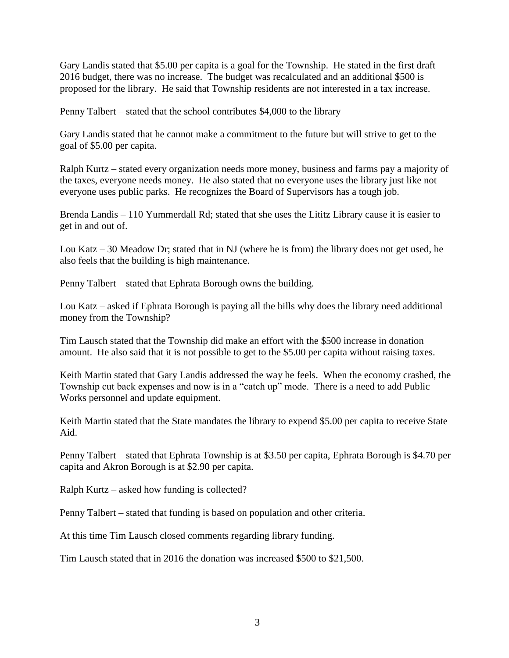Gary Landis stated that \$5.00 per capita is a goal for the Township. He stated in the first draft 2016 budget, there was no increase. The budget was recalculated and an additional \$500 is proposed for the library. He said that Township residents are not interested in a tax increase.

Penny Talbert – stated that the school contributes \$4,000 to the library

Gary Landis stated that he cannot make a commitment to the future but will strive to get to the goal of \$5.00 per capita.

Ralph Kurtz – stated every organization needs more money, business and farms pay a majority of the taxes, everyone needs money. He also stated that no everyone uses the library just like not everyone uses public parks. He recognizes the Board of Supervisors has a tough job.

Brenda Landis – 110 Yummerdall Rd; stated that she uses the Lititz Library cause it is easier to get in and out of.

Lou Katz  $-30$  Meadow Dr; stated that in NJ (where he is from) the library does not get used, he also feels that the building is high maintenance.

Penny Talbert – stated that Ephrata Borough owns the building.

Lou Katz – asked if Ephrata Borough is paying all the bills why does the library need additional money from the Township?

Tim Lausch stated that the Township did make an effort with the \$500 increase in donation amount. He also said that it is not possible to get to the \$5.00 per capita without raising taxes.

Keith Martin stated that Gary Landis addressed the way he feels. When the economy crashed, the Township cut back expenses and now is in a "catch up" mode. There is a need to add Public Works personnel and update equipment.

Keith Martin stated that the State mandates the library to expend \$5.00 per capita to receive State Aid.

Penny Talbert – stated that Ephrata Township is at \$3.50 per capita, Ephrata Borough is \$4.70 per capita and Akron Borough is at \$2.90 per capita.

Ralph Kurtz – asked how funding is collected?

Penny Talbert – stated that funding is based on population and other criteria.

At this time Tim Lausch closed comments regarding library funding.

Tim Lausch stated that in 2016 the donation was increased \$500 to \$21,500.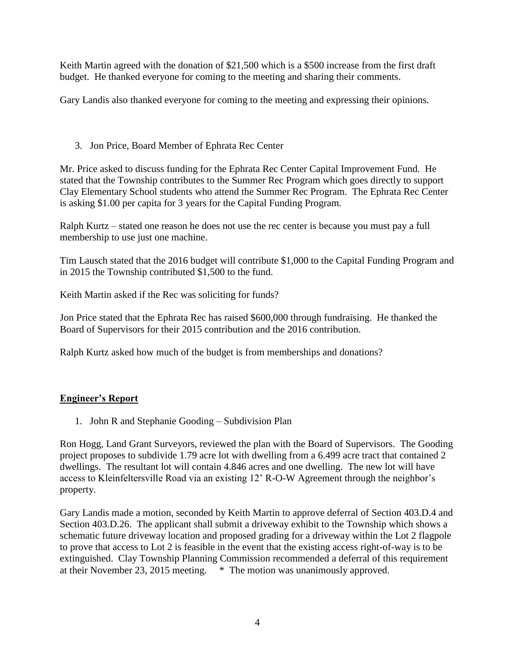Keith Martin agreed with the donation of \$21,500 which is a \$500 increase from the first draft budget. He thanked everyone for coming to the meeting and sharing their comments.

Gary Landis also thanked everyone for coming to the meeting and expressing their opinions.

# 3. Jon Price, Board Member of Ephrata Rec Center

Mr. Price asked to discuss funding for the Ephrata Rec Center Capital Improvement Fund. He stated that the Township contributes to the Summer Rec Program which goes directly to support Clay Elementary School students who attend the Summer Rec Program. The Ephrata Rec Center is asking \$1.00 per capita for 3 years for the Capital Funding Program.

Ralph Kurtz – stated one reason he does not use the rec center is because you must pay a full membership to use just one machine.

Tim Lausch stated that the 2016 budget will contribute \$1,000 to the Capital Funding Program and in 2015 the Township contributed \$1,500 to the fund.

Keith Martin asked if the Rec was soliciting for funds?

Jon Price stated that the Ephrata Rec has raised \$600,000 through fundraising. He thanked the Board of Supervisors for their 2015 contribution and the 2016 contribution.

Ralph Kurtz asked how much of the budget is from memberships and donations?

# **Engineer's Report**

1. John R and Stephanie Gooding – Subdivision Plan

Ron Hogg, Land Grant Surveyors, reviewed the plan with the Board of Supervisors. The Gooding project proposes to subdivide 1.79 acre lot with dwelling from a 6.499 acre tract that contained 2 dwellings. The resultant lot will contain 4.846 acres and one dwelling. The new lot will have access to Kleinfeltersville Road via an existing 12' R-O-W Agreement through the neighbor's property.

Gary Landis made a motion, seconded by Keith Martin to approve deferral of Section 403.D.4 and Section 403.D.26. The applicant shall submit a driveway exhibit to the Township which shows a schematic future driveway location and proposed grading for a driveway within the Lot 2 flagpole to prove that access to Lot 2 is feasible in the event that the existing access right-of-way is to be extinguished. Clay Township Planning Commission recommended a deferral of this requirement at their November 23, 2015 meeting. \* The motion was unanimously approved.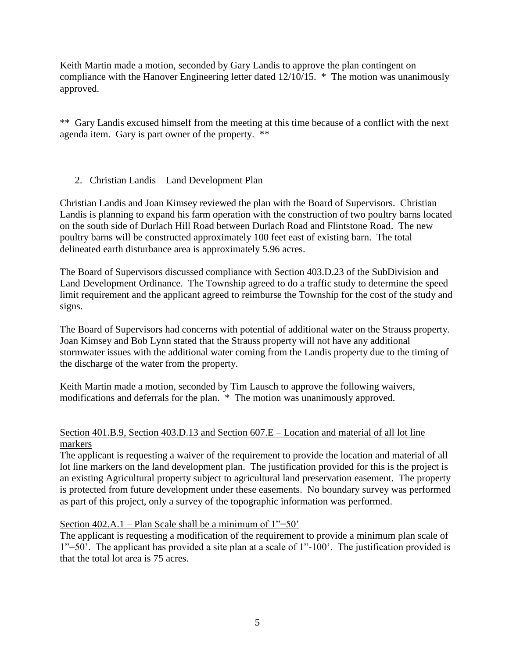Keith Martin made a motion, seconded by Gary Landis to approve the plan contingent on compliance with the Hanover Engineering letter dated 12/10/15. \* The motion was unanimously approved.

\*\* Gary Landis excused himself from the meeting at this time because of a conflict with the next agenda item. Gary is part owner of the property. \*\*

# 2. Christian Landis – Land Development Plan

Christian Landis and Joan Kimsey reviewed the plan with the Board of Supervisors. Christian Landis is planning to expand his farm operation with the construction of two poultry barns located on the south side of Durlach Hill Road between Durlach Road and Flintstone Road. The new poultry barns will be constructed approximately 100 feet east of existing barn. The total delineated earth disturbance area is approximately 5.96 acres.

The Board of Supervisors discussed compliance with Section 403.D.23 of the SubDivision and Land Development Ordinance. The Township agreed to do a traffic study to determine the speed limit requirement and the applicant agreed to reimburse the Township for the cost of the study and signs.

The Board of Supervisors had concerns with potential of additional water on the Strauss property. Joan Kimsey and Bob Lynn stated that the Strauss property will not have any additional stormwater issues with the additional water coming from the Landis property due to the timing of the discharge of the water from the property.

Keith Martin made a motion, seconded by Tim Lausch to approve the following waivers, modifications and deferrals for the plan. \* The motion was unanimously approved.

### Section 401.B.9, Section 403.D.13 and Section 607.E – Location and material of all lot line markers

The applicant is requesting a waiver of the requirement to provide the location and material of all lot line markers on the land development plan. The justification provided for this is the project is an existing Agricultural property subject to agricultural land preservation easement. The property is protected from future development under these easements. No boundary survey was performed as part of this project, only a survey of the topographic information was performed.

# Section 402.A.1 – Plan Scale shall be a minimum of  $1" = 50'$

The applicant is requesting a modification of the requirement to provide a minimum plan scale of 1"=50'. The applicant has provided a site plan at a scale of 1"-100'. The justification provided is that the total lot area is 75 acres.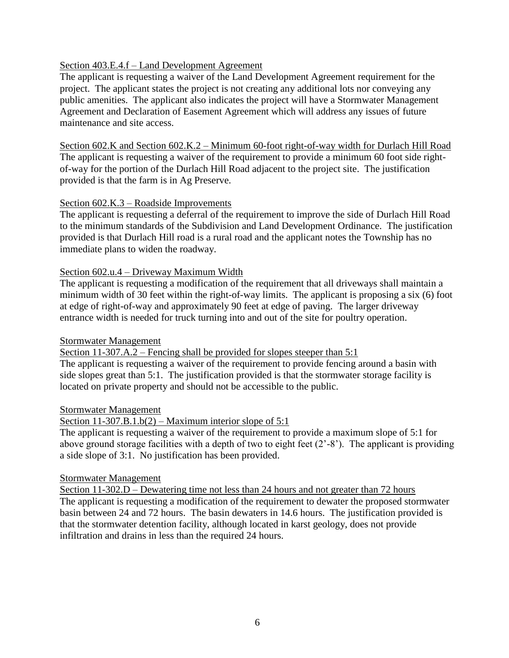### Section 403.E.4.f – Land Development Agreement

The applicant is requesting a waiver of the Land Development Agreement requirement for the project. The applicant states the project is not creating any additional lots nor conveying any public amenities. The applicant also indicates the project will have a Stormwater Management Agreement and Declaration of Easement Agreement which will address any issues of future maintenance and site access.

Section 602.K and Section 602.K.2 – Minimum 60-foot right-of-way width for Durlach Hill Road The applicant is requesting a waiver of the requirement to provide a minimum 60 foot side rightof-way for the portion of the Durlach Hill Road adjacent to the project site. The justification provided is that the farm is in Ag Preserve.

### Section 602.K.3 – Roadside Improvements

The applicant is requesting a deferral of the requirement to improve the side of Durlach Hill Road to the minimum standards of the Subdivision and Land Development Ordinance. The justification provided is that Durlach Hill road is a rural road and the applicant notes the Township has no immediate plans to widen the roadway.

### Section 602.u.4 – Driveway Maximum Width

The applicant is requesting a modification of the requirement that all driveways shall maintain a minimum width of 30 feet within the right-of-way limits. The applicant is proposing a six (6) foot at edge of right-of-way and approximately 90 feet at edge of paving. The larger driveway entrance width is needed for truck turning into and out of the site for poultry operation.

# Stormwater Management

Section 11-307.A.2 – Fencing shall be provided for slopes steeper than 5:1

The applicant is requesting a waiver of the requirement to provide fencing around a basin with side slopes great than 5:1. The justification provided is that the stormwater storage facility is located on private property and should not be accessible to the public.

### Stormwater Management

### Section  $11-307.B.1.b(2)$  – Maximum interior slope of 5:1

The applicant is requesting a waiver of the requirement to provide a maximum slope of 5:1 for above ground storage facilities with a depth of two to eight feet (2'-8'). The applicant is providing a side slope of 3:1. No justification has been provided.

### Stormwater Management

Section 11-302.D – Dewatering time not less than 24 hours and not greater than 72 hours The applicant is requesting a modification of the requirement to dewater the proposed stormwater basin between 24 and 72 hours. The basin dewaters in 14.6 hours. The justification provided is that the stormwater detention facility, although located in karst geology, does not provide infiltration and drains in less than the required 24 hours.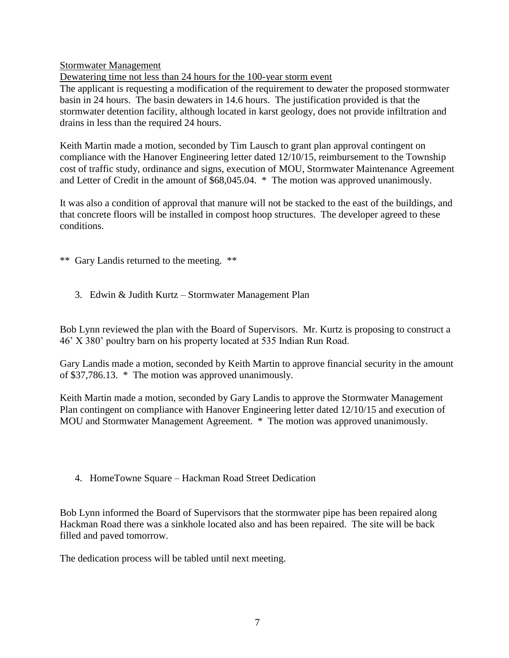Stormwater Management

Dewatering time not less than 24 hours for the 100-year storm event

The applicant is requesting a modification of the requirement to dewater the proposed stormwater basin in 24 hours. The basin dewaters in 14.6 hours. The justification provided is that the stormwater detention facility, although located in karst geology, does not provide infiltration and drains in less than the required 24 hours.

Keith Martin made a motion, seconded by Tim Lausch to grant plan approval contingent on compliance with the Hanover Engineering letter dated 12/10/15, reimbursement to the Township cost of traffic study, ordinance and signs, execution of MOU, Stormwater Maintenance Agreement and Letter of Credit in the amount of \$68,045.04. \* The motion was approved unanimously.

It was also a condition of approval that manure will not be stacked to the east of the buildings, and that concrete floors will be installed in compost hoop structures. The developer agreed to these conditions.

\*\* Gary Landis returned to the meeting. \*\*

3. Edwin & Judith Kurtz – Stormwater Management Plan

Bob Lynn reviewed the plan with the Board of Supervisors. Mr. Kurtz is proposing to construct a 46' X 380' poultry barn on his property located at 535 Indian Run Road.

Gary Landis made a motion, seconded by Keith Martin to approve financial security in the amount of \$37,786.13. \* The motion was approved unanimously.

Keith Martin made a motion, seconded by Gary Landis to approve the Stormwater Management Plan contingent on compliance with Hanover Engineering letter dated 12/10/15 and execution of MOU and Stormwater Management Agreement. \* The motion was approved unanimously.

4. HomeTowne Square – Hackman Road Street Dedication

Bob Lynn informed the Board of Supervisors that the stormwater pipe has been repaired along Hackman Road there was a sinkhole located also and has been repaired. The site will be back filled and paved tomorrow.

The dedication process will be tabled until next meeting.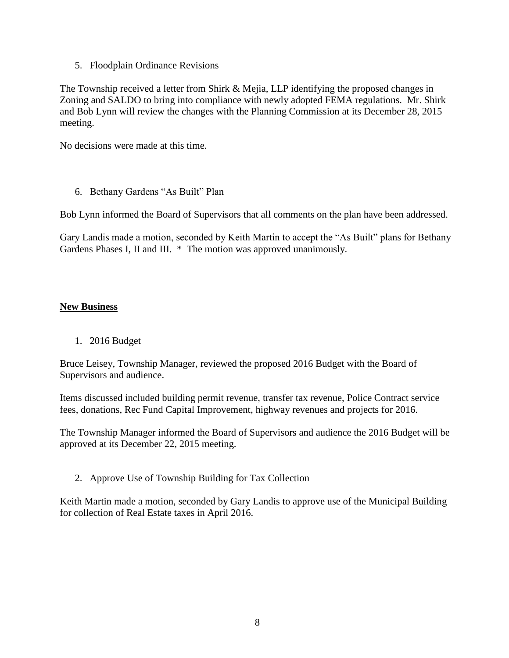5. Floodplain Ordinance Revisions

The Township received a letter from Shirk & Mejia, LLP identifying the proposed changes in Zoning and SALDO to bring into compliance with newly adopted FEMA regulations. Mr. Shirk and Bob Lynn will review the changes with the Planning Commission at its December 28, 2015 meeting.

No decisions were made at this time.

6. Bethany Gardens "As Built" Plan

Bob Lynn informed the Board of Supervisors that all comments on the plan have been addressed.

Gary Landis made a motion, seconded by Keith Martin to accept the "As Built" plans for Bethany Gardens Phases I, II and III. \* The motion was approved unanimously.

### **New Business**

1. 2016 Budget

Bruce Leisey, Township Manager, reviewed the proposed 2016 Budget with the Board of Supervisors and audience.

Items discussed included building permit revenue, transfer tax revenue, Police Contract service fees, donations, Rec Fund Capital Improvement, highway revenues and projects for 2016.

The Township Manager informed the Board of Supervisors and audience the 2016 Budget will be approved at its December 22, 2015 meeting.

2. Approve Use of Township Building for Tax Collection

Keith Martin made a motion, seconded by Gary Landis to approve use of the Municipal Building for collection of Real Estate taxes in April 2016.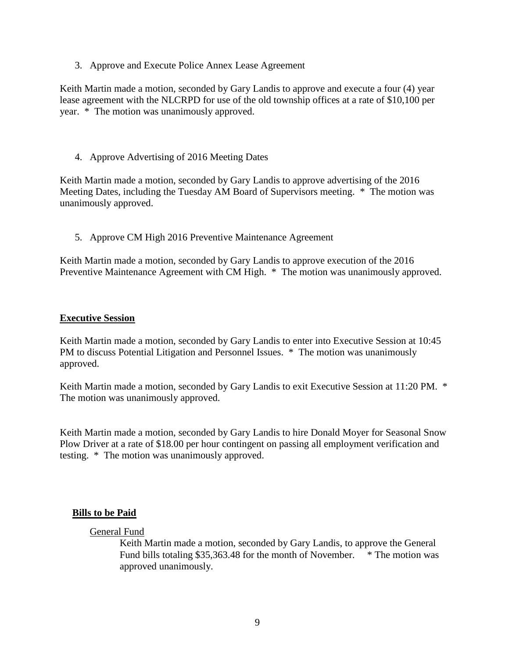3. Approve and Execute Police Annex Lease Agreement

Keith Martin made a motion, seconded by Gary Landis to approve and execute a four (4) year lease agreement with the NLCRPD for use of the old township offices at a rate of \$10,100 per year. \* The motion was unanimously approved.

4. Approve Advertising of 2016 Meeting Dates

Keith Martin made a motion, seconded by Gary Landis to approve advertising of the 2016 Meeting Dates, including the Tuesday AM Board of Supervisors meeting. \* The motion was unanimously approved.

5. Approve CM High 2016 Preventive Maintenance Agreement

Keith Martin made a motion, seconded by Gary Landis to approve execution of the 2016 Preventive Maintenance Agreement with CM High. \* The motion was unanimously approved.

### **Executive Session**

Keith Martin made a motion, seconded by Gary Landis to enter into Executive Session at 10:45 PM to discuss Potential Litigation and Personnel Issues. \* The motion was unanimously approved.

Keith Martin made a motion, seconded by Gary Landis to exit Executive Session at 11:20 PM. \* The motion was unanimously approved.

Keith Martin made a motion, seconded by Gary Landis to hire Donald Moyer for Seasonal Snow Plow Driver at a rate of \$18.00 per hour contingent on passing all employment verification and testing. \* The motion was unanimously approved.

### **Bills to be Paid**

### General Fund

Keith Martin made a motion, seconded by Gary Landis, to approve the General Fund bills totaling \$35,363.48 for the month of November. \* The motion was approved unanimously.